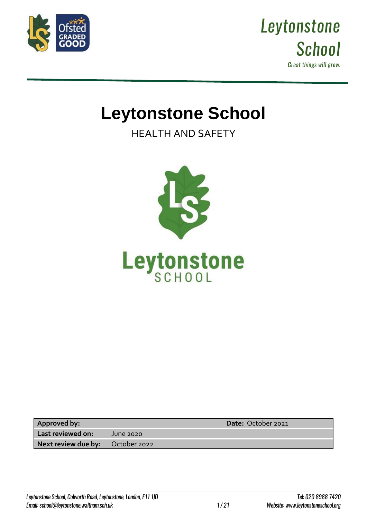



# **Leytonstone School**

HEALTH AND SAFETY



| Approved by:                       |                  | Date: October 2021 |
|------------------------------------|------------------|--------------------|
| Last reviewed on:                  | <b>June 2020</b> |                    |
| Next review due by:   October 2022 |                  |                    |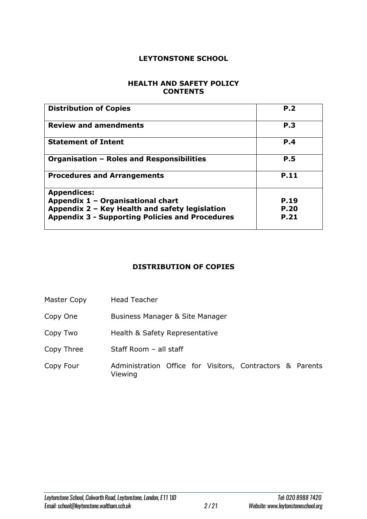#### **LEYTONSTONE SCHOOL**

#### **HEALTH AND SAFETY POLICY CONTENTS**

| <b>Distribution of Copies</b>                          | P.2         |
|--------------------------------------------------------|-------------|
| <b>Review and amendments</b>                           | <b>P.3</b>  |
| <b>Statement of Intent</b>                             | P.4         |
| Organisation - Roles and Responsibilities              | <b>P.5</b>  |
| <b>Procedures and Arrangements</b>                     | P.11        |
| <b>Appendices:</b>                                     |             |
| Appendix 1 - Organisational chart                      | P.19        |
| Appendix 2 - Key Health and safety legislation         | <b>P.20</b> |
| <b>Appendix 3 - Supporting Policies and Procedures</b> | <b>P.21</b> |

## **DISTRIBUTION OF COPIES**

- Master Copy Head Teacher
- Copy One Business Manager & Site Manager
- Copy Two Health & Safety Representative
- Copy Three Staff Room all staff
- Copy Four Administration Office for Visitors, Contractors & Parents Viewing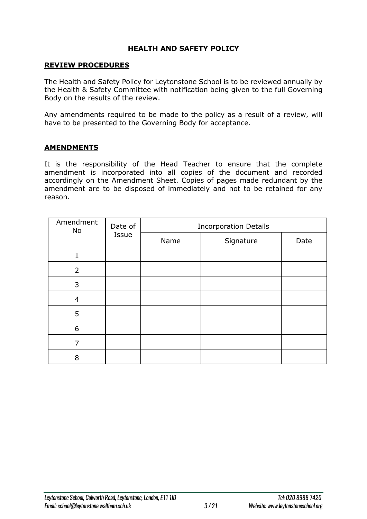#### **HEALTH AND SAFETY POLICY**

#### **REVIEW PROCEDURES**

The Health and Safety Policy for Leytonstone School is to be reviewed annually by the Health & Safety Committee with notification being given to the full Governing Body on the results of the review.

Any amendments required to be made to the policy as a result of a review, will have to be presented to the Governing Body for acceptance.

#### **AMENDMENTS**

It is the responsibility of the Head Teacher to ensure that the complete amendment is incorporated into all copies of the document and recorded accordingly on the Amendment Sheet. Copies of pages made redundant by the amendment are to be disposed of immediately and not to be retained for any reason.

| Amendment<br>Date of<br>No<br>Issue |      | <b>Incorporation Details</b> |      |  |  |
|-------------------------------------|------|------------------------------|------|--|--|
|                                     | Name | Signature                    | Date |  |  |
|                                     |      |                              |      |  |  |
| $\overline{2}$                      |      |                              |      |  |  |
| 3                                   |      |                              |      |  |  |
| 4                                   |      |                              |      |  |  |
| 5                                   |      |                              |      |  |  |
| 6                                   |      |                              |      |  |  |
| 7                                   |      |                              |      |  |  |
| 8                                   |      |                              |      |  |  |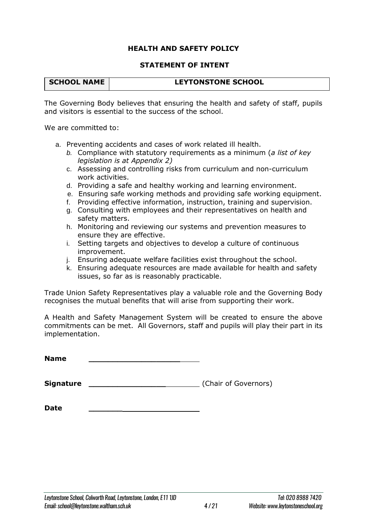#### **HEALTH AND SAFETY POLICY**

#### **STATEMENT OF INTENT**

| <b>SCHOOL NAME</b> | <b>LEYTONSTONE SCHOOL</b> |
|--------------------|---------------------------|
|                    |                           |

The Governing Body believes that ensuring the health and safety of staff, pupils and visitors is essential to the success of the school.

We are committed to:

- a. Preventing accidents and cases of work related ill health.
	- *b.* Compliance with statutory requirements as a minimum (*a list of key legislation is at Appendix 2)*
	- c. Assessing and controlling risks from curriculum and non-curriculum work activities.
	- d. Providing a safe and healthy working and learning environment.
	- e. Ensuring safe working methods and providing safe working equipment.
	- f. Providing effective information, instruction, training and supervision.
	- g. Consulting with employees and their representatives on health and safety matters.
	- h. Monitoring and reviewing our systems and prevention measures to ensure they are effective.
	- i. Setting targets and objectives to develop a culture of continuous improvement.
	- j. Ensuring adequate welfare facilities exist throughout the school.
	- k. Ensuring adequate resources are made available for health and safety issues, so far as is reasonably practicable.

Trade Union Safety Representatives play a valuable role and the Governing Body recognises the mutual benefits that will arise from supporting their work.

A Health and Safety Management System will be created to ensure the above commitments can be met. All Governors, staff and pupils will play their part in its implementation.

**Name \_\_\_\_\_\_\_\_\_\_\_\_\_\_\_\_\_\_\_**

**Signature Signature** (Chair of Governors)

**Date \_\_\_\_\_\_\_**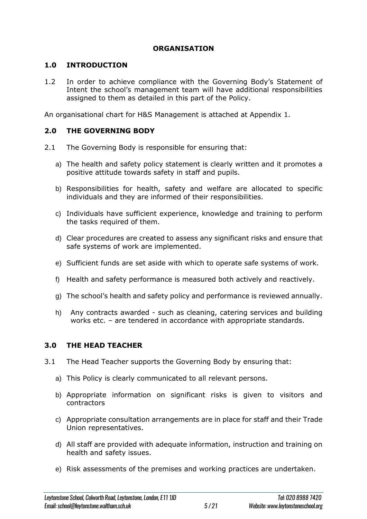## **ORGANISATION**

## **1.0 INTRODUCTION**

1.2 In order to achieve compliance with the Governing Body's Statement of Intent the school's management team will have additional responsibilities assigned to them as detailed in this part of the Policy.

An organisational chart for H&S Management is attached at Appendix 1.

## **2.0 THE GOVERNING BODY**

- 2.1 The Governing Body is responsible for ensuring that:
	- a) The health and safety policy statement is clearly written and it promotes a positive attitude towards safety in staff and pupils.
	- b) Responsibilities for health, safety and welfare are allocated to specific individuals and they are informed of their responsibilities.
	- c) Individuals have sufficient experience, knowledge and training to perform the tasks required of them.
	- d) Clear procedures are created to assess any significant risks and ensure that safe systems of work are implemented.
	- e) Sufficient funds are set aside with which to operate safe systems of work.
	- f) Health and safety performance is measured both actively and reactively.
	- g) The school's health and safety policy and performance is reviewed annually.
	- h) Any contracts awarded such as cleaning, catering services and building works etc. – are tendered in accordance with appropriate standards.

## **3.0 THE HEAD TEACHER**

- 3.1 The Head Teacher supports the Governing Body by ensuring that:
	- a) This Policy is clearly communicated to all relevant persons.
	- b) Appropriate information on significant risks is given to visitors and contractors
	- c) Appropriate consultation arrangements are in place for staff and their Trade Union representatives.
	- d) All staff are provided with adequate information, instruction and training on health and safety issues.
	- e) Risk assessments of the premises and working practices are undertaken.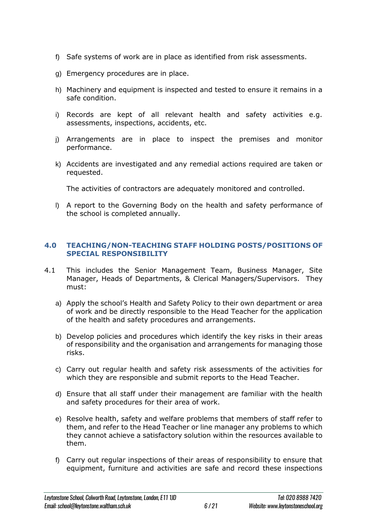- f) Safe systems of work are in place as identified from risk assessments.
- g) Emergency procedures are in place.
- h) Machinery and equipment is inspected and tested to ensure it remains in a safe condition.
- i) Records are kept of all relevant health and safety activities e.g. assessments, inspections, accidents, etc.
- j) Arrangements are in place to inspect the premises and monitor performance.
- k) Accidents are investigated and any remedial actions required are taken or requested.

The activities of contractors are adequately monitored and controlled.

l) A report to the Governing Body on the health and safety performance of the school is completed annually.

#### **4.0 TEACHING/NON-TEACHING STAFF HOLDING POSTS/POSITIONS OF SPECIAL RESPONSIBILITY**

- 4.1 This includes the Senior Management Team, Business Manager, Site Manager, Heads of Departments, & Clerical Managers/Supervisors. They must:
	- a) Apply the school's Health and Safety Policy to their own department or area of work and be directly responsible to the Head Teacher for the application of the health and safety procedures and arrangements.
	- b) Develop policies and procedures which identify the key risks in their areas of responsibility and the organisation and arrangements for managing those risks.
	- c) Carry out regular health and safety risk assessments of the activities for which they are responsible and submit reports to the Head Teacher.
	- d) Ensure that all staff under their management are familiar with the health and safety procedures for their area of work.
	- e) Resolve health, safety and welfare problems that members of staff refer to them, and refer to the Head Teacher or line manager any problems to which they cannot achieve a satisfactory solution within the resources available to them.
	- f) Carry out regular inspections of their areas of responsibility to ensure that equipment, furniture and activities are safe and record these inspections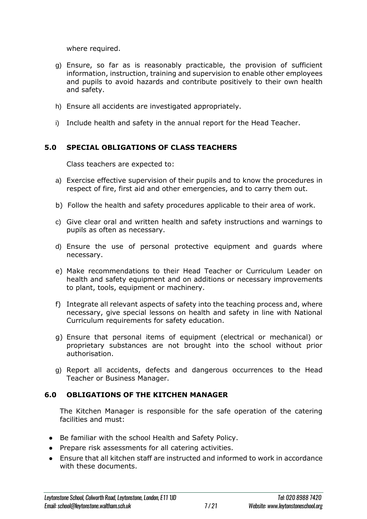where required.

- g) Ensure, so far as is reasonably practicable, the provision of sufficient information, instruction, training and supervision to enable other employees and pupils to avoid hazards and contribute positively to their own health and safety.
- h) Ensure all accidents are investigated appropriately.
- i) Include health and safety in the annual report for the Head Teacher.

## **5.0 SPECIAL OBLIGATIONS OF CLASS TEACHERS**

Class teachers are expected to:

- a) Exercise effective supervision of their pupils and to know the procedures in respect of fire, first aid and other emergencies, and to carry them out.
- b) Follow the health and safety procedures applicable to their area of work.
- c) Give clear oral and written health and safety instructions and warnings to pupils as often as necessary.
- d) Ensure the use of personal protective equipment and guards where necessary.
- e) Make recommendations to their Head Teacher or Curriculum Leader on health and safety equipment and on additions or necessary improvements to plant, tools, equipment or machinery.
- f) Integrate all relevant aspects of safety into the teaching process and, where necessary, give special lessons on health and safety in line with National Curriculum requirements for safety education.
- g) Ensure that personal items of equipment (electrical or mechanical) or proprietary substances are not brought into the school without prior authorisation.
- g) Report all accidents, defects and dangerous occurrences to the Head Teacher or Business Manager.

## **6.0 OBLIGATIONS OF THE KITCHEN MANAGER**

The Kitchen Manager is responsible for the safe operation of the catering facilities and must:

- Be familiar with the school Health and Safety Policy.
- Prepare risk assessments for all catering activities.
- Ensure that all kitchen staff are instructed and informed to work in accordance with these documents.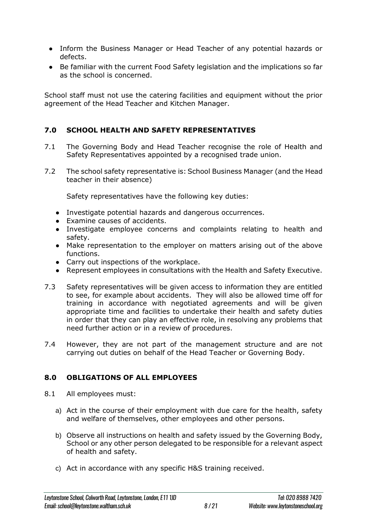- Inform the Business Manager or Head Teacher of any potential hazards or defects.
- Be familiar with the current Food Safety legislation and the implications so far as the school is concerned.

School staff must not use the catering facilities and equipment without the prior agreement of the Head Teacher and Kitchen Manager.

## **7.0 SCHOOL HEALTH AND SAFETY REPRESENTATIVES**

- 7.1 The Governing Body and Head Teacher recognise the role of Health and Safety Representatives appointed by a recognised trade union.
- 7.2 The school safety representative is: School Business Manager (and the Head teacher in their absence)

Safety representatives have the following key duties:

- Investigate potential hazards and dangerous occurrences.
- Examine causes of accidents.
- Investigate employee concerns and complaints relating to health and safety.
- Make representation to the employer on matters arising out of the above functions.
- Carry out inspections of the workplace.
- Represent employees in consultations with the Health and Safety Executive.
- 7.3 Safety representatives will be given access to information they are entitled to see, for example about accidents. They will also be allowed time off for training in accordance with negotiated agreements and will be given appropriate time and facilities to undertake their health and safety duties in order that they can play an effective role, in resolving any problems that need further action or in a review of procedures.
- 7.4 However, they are not part of the management structure and are not carrying out duties on behalf of the Head Teacher or Governing Body.

## **8.0 OBLIGATIONS OF ALL EMPLOYEES**

- 8.1 All employees must:
	- a) Act in the course of their employment with due care for the health, safety and welfare of themselves, other employees and other persons.
	- b) Observe all instructions on health and safety issued by the Governing Body, School or any other person delegated to be responsible for a relevant aspect of health and safety.
	- c) Act in accordance with any specific H&S training received.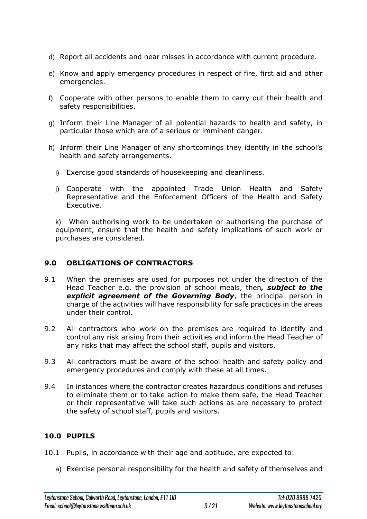- d) Report all accidents and near misses in accordance with current procedure.
- e) Know and apply emergency procedures in respect of fire, first aid and other emergencies.
- f) Cooperate with other persons to enable them to carry out their health and safety responsibilities.
- g) Inform their Line Manager of all potential hazards to health and safety, in particular those which are of a serious or imminent danger.
- h) Inform their Line Manager of any shortcomings they identify in the school's health and safety arrangements.
	- i) Exercise good standards of housekeeping and cleanliness.
	- j) Cooperate with the appointed Trade Union Health and Safety Representative and the Enforcement Officers of the Health and Safety Executive.

k) When authorising work to be undertaken or authorising the purchase of equipment, ensure that the health and safety implications of such work or purchases are considered.

## **9.0 OBLIGATIONS OF CONTRACTORS**

- 9.1 When the premises are used for purposes not under the direction of the Head Teacher e.g. the provision of school meals, then*, subject to the explicit agreement of the Governing Body*, the principal person in charge of the activities will have responsibility for safe practices in the areas under their control.
- 9.2 All contractors who work on the premises are required to identify and control any risk arising from their activities and inform the Head Teacher of any risks that may affect the school staff, pupils and visitors.
- 9.3 All contractors must be aware of the school health and safety policy and emergency procedures and comply with these at all times.
- 9.4 In instances where the contractor creates hazardous conditions and refuses to eliminate them or to take action to make them safe, the Head Teacher or their representative will take such actions as are necessary to protect the safety of school staff, pupils and visitors.

## **10.0 PUPILS**

- 10.1 Pupils, in accordance with their age and aptitude, are expected to:
	- a) Exercise personal responsibility for the health and safety of themselves and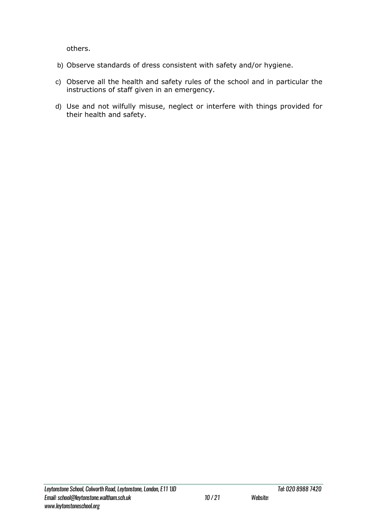others.

- b) Observe standards of dress consistent with safety and/or hygiene.
- c) Observe all the health and safety rules of the school and in particular the instructions of staff given in an emergency.
- d) Use and not wilfully misuse, neglect or interfere with things provided for their health and safety.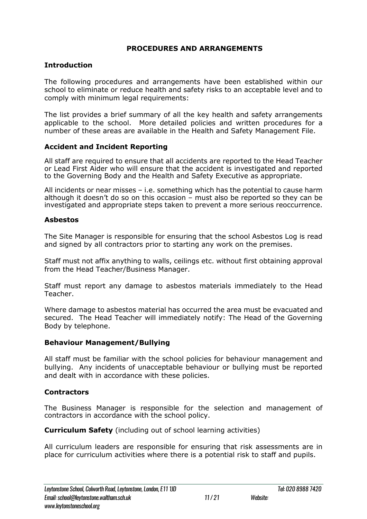## **PROCEDURES AND ARRANGEMENTS**

## **Introduction**

The following procedures and arrangements have been established within our school to eliminate or reduce health and safety risks to an acceptable level and to comply with minimum legal requirements:

The list provides a brief summary of all the key health and safety arrangements applicable to the school. More detailed policies and written procedures for a number of these areas are available in the Health and Safety Management File.

## **Accident and Incident Reporting**

All staff are required to ensure that all accidents are reported to the Head Teacher or Lead First Aider who will ensure that the accident is investigated and reported to the Governing Body and the Health and Safety Executive as appropriate.

All incidents or near misses – i.e. something which has the potential to cause harm although it doesn't do so on this occasion – must also be reported so they can be investigated and appropriate steps taken to prevent a more serious reoccurrence.

#### **Asbestos**

The Site Manager is responsible for ensuring that the school Asbestos Log is read and signed by all contractors prior to starting any work on the premises.

Staff must not affix anything to walls, ceilings etc. without first obtaining approval from the Head Teacher/Business Manager.

Staff must report any damage to asbestos materials immediately to the Head Teacher.

Where damage to asbestos material has occurred the area must be evacuated and secured. The Head Teacher will immediately notify: The Head of the Governing Body by telephone.

## **Behaviour Management/Bullying**

All staff must be familiar with the school policies for behaviour management and bullying. Any incidents of unacceptable behaviour or bullying must be reported and dealt with in accordance with these policies.

## **Contractors**

The Business Manager is responsible for the selection and management of contractors in accordance with the school policy.

**Curriculum Safety** (including out of school learning activities)

All curriculum leaders are responsible for ensuring that risk assessments are in place for curriculum activities where there is a potential risk to staff and pupils.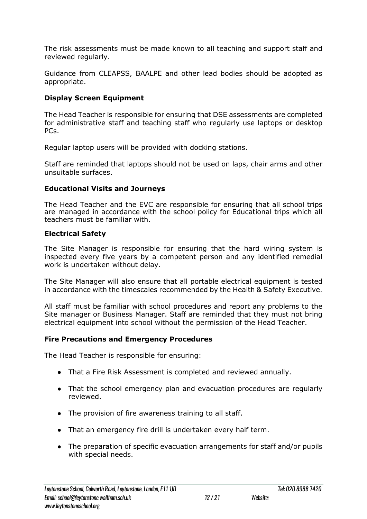The risk assessments must be made known to all teaching and support staff and reviewed regularly.

Guidance from CLEAPSS, BAALPE and other lead bodies should be adopted as appropriate.

## **Display Screen Equipment**

The Head Teacher is responsible for ensuring that DSE assessments are completed for administrative staff and teaching staff who regularly use laptops or desktop PCs.

Regular laptop users will be provided with docking stations.

Staff are reminded that laptops should not be used on laps, chair arms and other unsuitable surfaces.

## **Educational Visits and Journeys**

The Head Teacher and the EVC are responsible for ensuring that all school trips are managed in accordance with the school policy for Educational trips which all teachers must be familiar with.

## **Electrical Safety**

The Site Manager is responsible for ensuring that the hard wiring system is inspected every five years by a competent person and any identified remedial work is undertaken without delay.

The Site Manager will also ensure that all portable electrical equipment is tested in accordance with the timescales recommended by the Health & Safety Executive.

All staff must be familiar with school procedures and report any problems to the Site manager or Business Manager. Staff are reminded that they must not bring electrical equipment into school without the permission of the Head Teacher.

## **Fire Precautions and Emergency Procedures**

The Head Teacher is responsible for ensuring:

- That a Fire Risk Assessment is completed and reviewed annually.
- That the school emergency plan and evacuation procedures are regularly reviewed.
- The provision of fire awareness training to all staff.
- That an emergency fire drill is undertaken every half term.
- The preparation of specific evacuation arrangements for staff and/or pupils with special needs.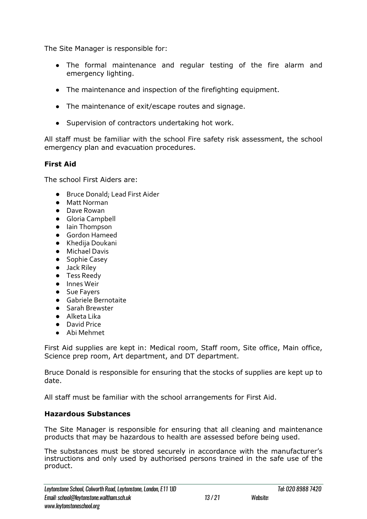The Site Manager is responsible for:

- The formal maintenance and regular testing of the fire alarm and emergency lighting.
- The maintenance and inspection of the firefighting equipment.
- The maintenance of exit/escape routes and signage.
- Supervision of contractors undertaking hot work.

All staff must be familiar with the school Fire safety risk assessment, the school emergency plan and evacuation procedures.

## **First Aid**

The school First Aiders are:

- Bruce Donald; Lead First Aider
- Matt Norman
- Dave Rowan
- Gloria Campbell
- Iain Thompson
- Gordon Hameed
- Khedija Doukani
- Michael Davis
- Sophie Casey
- Jack Riley
- Tess Reedy
- Innes Weir
- Sue Fayers
- Gabriele Bernotaite ● Sarah Brewster
- 
- Alketa Lika ● David Price
- Abi Mehmet

First Aid supplies are kept in: Medical room, Staff room, Site office, Main office, Science prep room, Art department, and DT department.

Bruce Donald is responsible for ensuring that the stocks of supplies are kept up to date.

All staff must be familiar with the school arrangements for First Aid.

## **Hazardous Substances**

The Site Manager is responsible for ensuring that all cleaning and maintenance products that may be hazardous to health are assessed before being used.

The substances must be stored securely in accordance with the manufacturer's instructions and only used by authorised persons trained in the safe use of the product.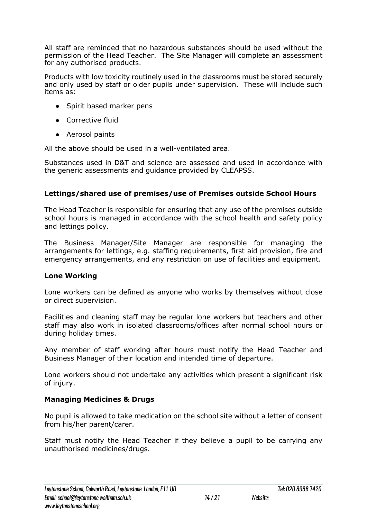All staff are reminded that no hazardous substances should be used without the permission of the Head Teacher. The Site Manager will complete an assessment for any authorised products.

Products with low toxicity routinely used in the classrooms must be stored securely and only used by staff or older pupils under supervision. These will include such items as:

- Spirit based marker pens
- Corrective fluid
- Aerosol paints

All the above should be used in a well-ventilated area.

Substances used in D&T and science are assessed and used in accordance with the generic assessments and guidance provided by CLEAPSS.

## **Lettings/shared use of premises/use of Premises outside School Hours**

The Head Teacher is responsible for ensuring that any use of the premises outside school hours is managed in accordance with the school health and safety policy and lettings policy.

The Business Manager/Site Manager are responsible for managing the arrangements for lettings, e.g. staffing requirements, first aid provision, fire and emergency arrangements, and any restriction on use of facilities and equipment.

## **Lone Working**

Lone workers can be defined as anyone who works by themselves without close or direct supervision.

Facilities and cleaning staff may be regular lone workers but teachers and other staff may also work in isolated classrooms/offices after normal school hours or during holiday times.

Any member of staff working after hours must notify the Head Teacher and Business Manager of their location and intended time of departure.

Lone workers should not undertake any activities which present a significant risk of injury.

## **Managing Medicines & Drugs**

No pupil is allowed to take medication on the school site without a letter of consent from his/her parent/carer.

Staff must notify the Head Teacher if they believe a pupil to be carrying any unauthorised medicines/drugs.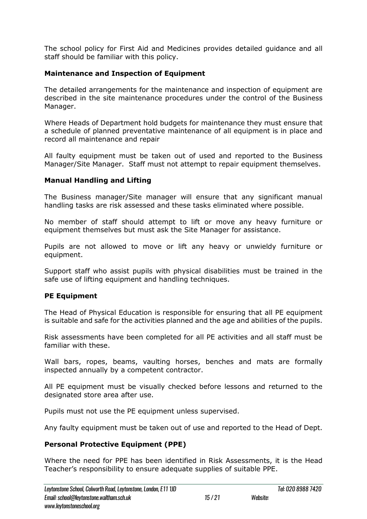The school policy for First Aid and Medicines provides detailed guidance and all staff should be familiar with this policy.

## **Maintenance and Inspection of Equipment**

The detailed arrangements for the maintenance and inspection of equipment are described in the site maintenance procedures under the control of the Business Manager.

Where Heads of Department hold budgets for maintenance they must ensure that a schedule of planned preventative maintenance of all equipment is in place and record all maintenance and repair

All faulty equipment must be taken out of used and reported to the Business Manager/Site Manager. Staff must not attempt to repair equipment themselves.

## **Manual Handling and Lifting**

The Business manager/Site manager will ensure that any significant manual handling tasks are risk assessed and these tasks eliminated where possible.

No member of staff should attempt to lift or move any heavy furniture or equipment themselves but must ask the Site Manager for assistance.

Pupils are not allowed to move or lift any heavy or unwieldy furniture or equipment.

Support staff who assist pupils with physical disabilities must be trained in the safe use of lifting equipment and handling techniques.

## **PE Equipment**

The Head of Physical Education is responsible for ensuring that all PE equipment is suitable and safe for the activities planned and the age and abilities of the pupils.

Risk assessments have been completed for all PE activities and all staff must be familiar with these.

Wall bars, ropes, beams, vaulting horses, benches and mats are formally inspected annually by a competent contractor.

All PE equipment must be visually checked before lessons and returned to the designated store area after use.

Pupils must not use the PE equipment unless supervised.

Any faulty equipment must be taken out of use and reported to the Head of Dept.

## **Personal Protective Equipment (PPE)**

Where the need for PPE has been identified in Risk Assessments, it is the Head Teacher's responsibility to ensure adequate supplies of suitable PPE.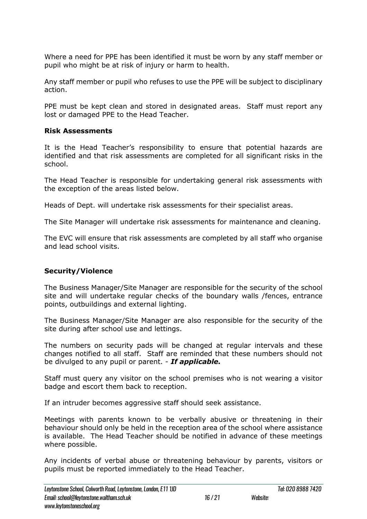Where a need for PPE has been identified it must be worn by any staff member or pupil who might be at risk of injury or harm to health.

Any staff member or pupil who refuses to use the PPE will be subject to disciplinary action.

PPE must be kept clean and stored in designated areas. Staff must report any lost or damaged PPE to the Head Teacher.

## **Risk Assessments**

It is the Head Teacher's responsibility to ensure that potential hazards are identified and that risk assessments are completed for all significant risks in the school.

The Head Teacher is responsible for undertaking general risk assessments with the exception of the areas listed below.

Heads of Dept. will undertake risk assessments for their specialist areas.

The Site Manager will undertake risk assessments for maintenance and cleaning.

The EVC will ensure that risk assessments are completed by all staff who organise and lead school visits.

## **Security/Violence**

The Business Manager/Site Manager are responsible for the security of the school site and will undertake regular checks of the boundary walls /fences, entrance points, outbuildings and external lighting.

The Business Manager/Site Manager are also responsible for the security of the site during after school use and lettings.

The numbers on security pads will be changed at regular intervals and these changes notified to all staff. Staff are reminded that these numbers should not be divulged to any pupil or parent. - *If applicable.*

Staff must query any visitor on the school premises who is not wearing a visitor badge and escort them back to reception.

If an intruder becomes aggressive staff should seek assistance.

Meetings with parents known to be verbally abusive or threatening in their behaviour should only be held in the reception area of the school where assistance is available. The Head Teacher should be notified in advance of these meetings where possible.

Any incidents of verbal abuse or threatening behaviour by parents, visitors or pupils must be reported immediately to the Head Teacher.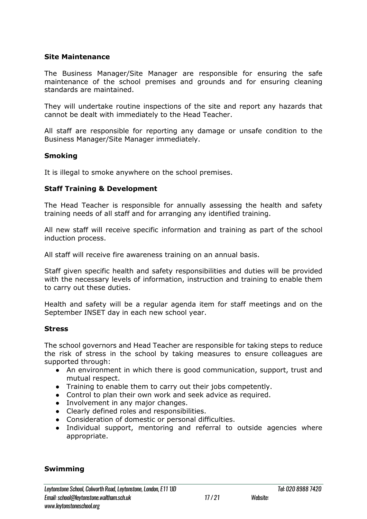#### **Site Maintenance**

The Business Manager/Site Manager are responsible for ensuring the safe maintenance of the school premises and grounds and for ensuring cleaning standards are maintained.

They will undertake routine inspections of the site and report any hazards that cannot be dealt with immediately to the Head Teacher.

All staff are responsible for reporting any damage or unsafe condition to the Business Manager/Site Manager immediately.

#### **Smoking**

It is illegal to smoke anywhere on the school premises.

#### **Staff Training & Development**

The Head Teacher is responsible for annually assessing the health and safety training needs of all staff and for arranging any identified training.

All new staff will receive specific information and training as part of the school induction process.

All staff will receive fire awareness training on an annual basis.

Staff given specific health and safety responsibilities and duties will be provided with the necessary levels of information, instruction and training to enable them to carry out these duties.

Health and safety will be a regular agenda item for staff meetings and on the September INSET day in each new school year.

#### **Stress**

The school governors and Head Teacher are responsible for taking steps to reduce the risk of stress in the school by taking measures to ensure colleagues are supported through:

- An environment in which there is good communication, support, trust and mutual respect.
- Training to enable them to carry out their jobs competently.
- Control to plan their own work and seek advice as required.
- Involvement in any major changes.
- Clearly defined roles and responsibilities.
- Consideration of domestic or personal difficulties.
- Individual support, mentoring and referral to outside agencies where appropriate.

#### **Swimming**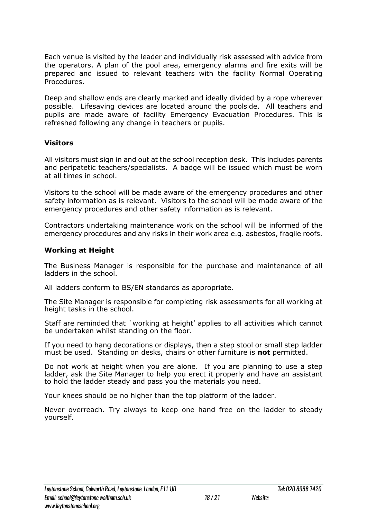Each venue is visited by the leader and individually risk assessed with advice from the operators. A plan of the pool area, emergency alarms and fire exits will be prepared and issued to relevant teachers with the facility Normal Operating Procedures.

Deep and shallow ends are clearly marked and ideally divided by a rope wherever possible. Lifesaving devices are located around the poolside. All teachers and pupils are made aware of facility Emergency Evacuation Procedures. This is refreshed following any change in teachers or pupils.

#### **Visitors**

All visitors must sign in and out at the school reception desk. This includes parents and peripatetic teachers/specialists. A badge will be issued which must be worn at all times in school.

Visitors to the school will be made aware of the emergency procedures and other safety information as is relevant. Visitors to the school will be made aware of the emergency procedures and other safety information as is relevant.

Contractors undertaking maintenance work on the school will be informed of the emergency procedures and any risks in their work area e.g. asbestos, fragile roofs.

## **Working at Height**

The Business Manager is responsible for the purchase and maintenance of all ladders in the school.

All ladders conform to BS/EN standards as appropriate.

The Site Manager is responsible for completing risk assessments for all working at height tasks in the school.

Staff are reminded that `working at height' applies to all activities which cannot be undertaken whilst standing on the floor.

If you need to hang decorations or displays, then a step stool or small step ladder must be used. Standing on desks, chairs or other furniture is **not** permitted.

Do not work at height when you are alone. If you are planning to use a step ladder, ask the Site Manager to help you erect it properly and have an assistant to hold the ladder steady and pass you the materials you need.

Your knees should be no higher than the top platform of the ladder.

Never overreach. Try always to keep one hand free on the ladder to steady yourself.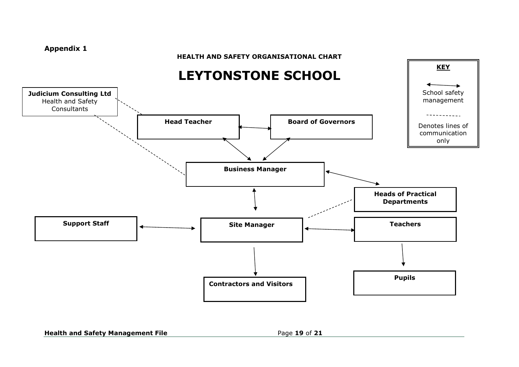#### **Appendix 1**

#### **HEALTH AND SAFETY ORGANISATIONAL CHART**



#### **Health and Safety Management File <b>Page 19** of 21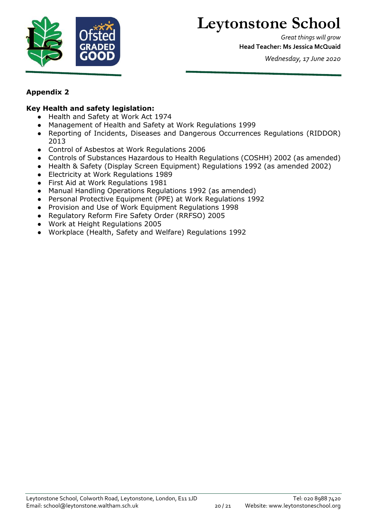

## **Leytonstone School**

*Great things will grow* **Head Teacher: Ms Jessica McQuaid**

*Wednesday, 17 June 2020*

## **Appendix 2**

## **Key Health and safety legislation:**

- Health and Safety at Work Act 1974
- Management of Health and Safety at Work Regulations 1999
- Reporting of Incidents, Diseases and Dangerous Occurrences Regulations (RIDDOR) 2013
- Control of Asbestos at Work Regulations 2006
- Controls of Substances Hazardous to Health Regulations (COSHH) 2002 (as amended)
- Health & Safety (Display Screen Equipment) Regulations 1992 (as amended 2002)
- Electricity at Work Regulations 1989
- First Aid at Work Regulations 1981
- Manual Handling Operations Regulations 1992 (as amended)
- Personal Protective Equipment (PPE) at Work Regulations 1992
- Provision and Use of Work Equipment Regulations 1998
- Regulatory Reform Fire Safety Order (RRFSO) 2005
- Work at Height Regulations 2005
- Workplace (Health, Safety and Welfare) Regulations 1992